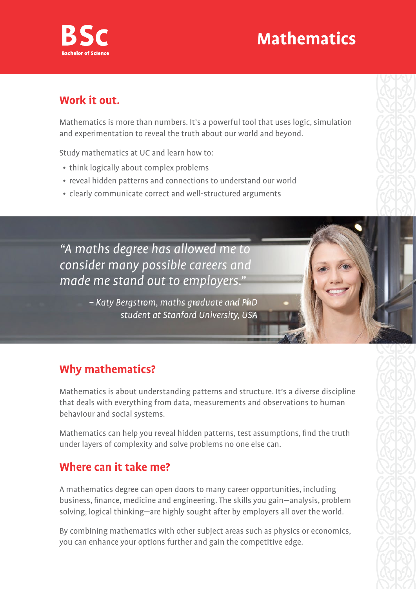## **Mathematics**



#### **Work it out.**

Mathematics is more than numbers. It's a powerful tool that uses logic, simulation and experimentation to reveal the truth about our world and beyond.

Study mathematics at UC and learn how to:

- think logically about complex problems
- reveal hidden patterns and connections to understand our world
- clearly communicate correct and well-structured arguments

"A maths degree has allowed me to consider many possible careers and made me stand out to employers."

> – Katy Bergstrom, maths graduate and PhD student at Stanford University, USA

#### **Why mathematics?**

Mathematics is about understanding patterns and structure. It's a diverse discipline that deals with everything from data, measurements and observations to human behaviour and social systems.

Mathematics can help you reveal hidden patterns, test assumptions, find the truth under layers of complexity and solve problems no one else can.

#### **Where can it take me?**

A mathematics degree can open doors to many career opportunities, including business, finance, medicine and engineering. The skills you gain—analysis, problem solving, logical thinking—are highly sought after by employers all over the world.

By combining mathematics with other subject areas such as physics or economics, you can enhance your options further and gain the competitive edge.